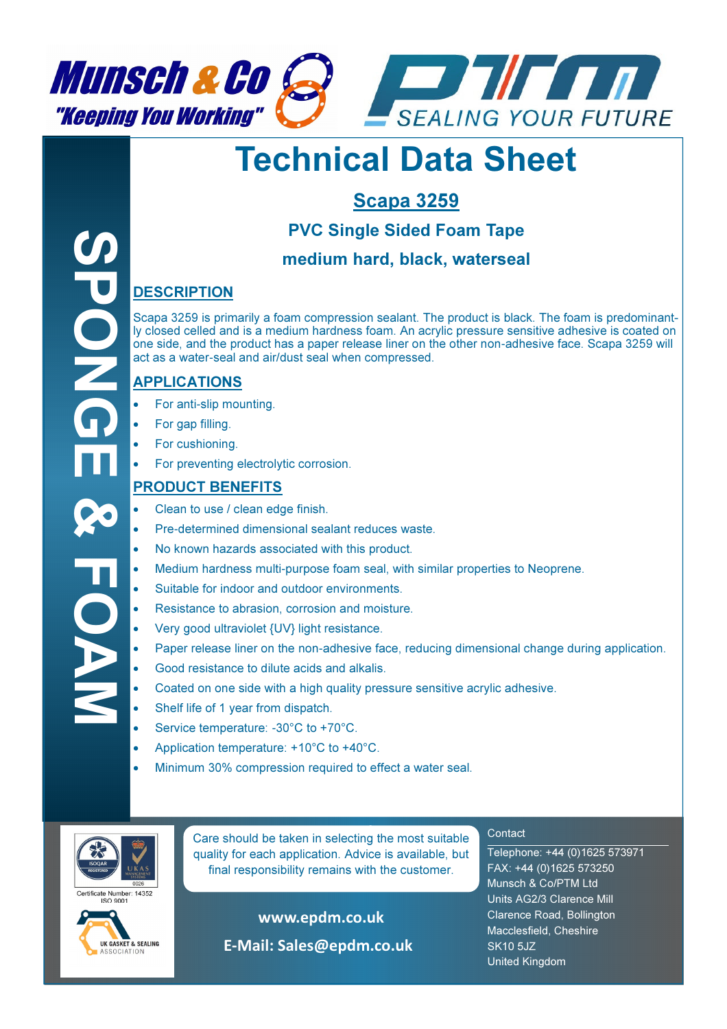



# Technical Data Sheet

## Scapa 3259

## PVC Single Sided Foam Tape

#### medium hard, black, waterseal

#### **DESCRIPTION**

Scapa 3259 is primarily a foam compression sealant. The product is black. The foam is predominantly closed celled and is a medium hardness foam. An acrylic pressure sensitive adhesive is coated on one side, and the product has a paper release liner on the other non-adhesive face. Scapa 3259 will act as a water-seal and air/dust seal when compressed.

#### APPLICATIONS

- For anti-slip mounting.
- For gap filling.
- For cushioning.
- For preventing electrolytic corrosion.

#### PRODUCT BENEFITS

- Clean to use / clean edge finish.
- Pre-determined dimensional sealant reduces waste.
- No known hazards associated with this product.
- Medium hardness multi-purpose foam seal, with similar properties to Neoprene.
- Suitable for indoor and outdoor environments.
- Resistance to abrasion, corrosion and moisture.
- Very good ultraviolet {UV} light resistance.
- Paper release liner on the non-adhesive face, reducing dimensional change during application.
- Good resistance to dilute acids and alkalis.
- Coated on one side with a high quality pressure sensitive acrylic adhesive.
- Shelf life of 1 year from dispatch.
- Service temperature: -30°C to +70°C.
- Application temperature: +10°C to +40°C.
- Minimum 30% compression required to effect a water seal.



SPONGE & FOAM

 $\breve{\mathbf{O}}$ 

**Care should be taken in selecting the most suitable** quality for each application. Advice is available, but final responsibility remains with the customer.

rtificate Number: 14352



www.epdm.co.uk

E-Mail: Sales@epdm.co.uk

#### **Contact**

Telephone: +44 (0)1625 573971 FAX: +44 (0)1625 573250 Munsch & Co/PTM Ltd Units AG2/3 Clarence Mill Clarence Road, Bollington Macclesfield, Cheshire SK10 5JZ United Kingdom